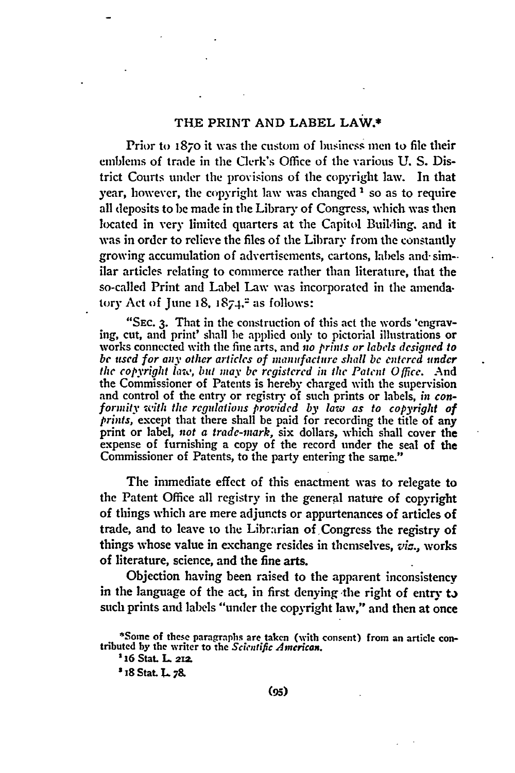## THE PRINT **AND** LABEL LAW.\*

Prior **to** 187o it was the custom of business men to **file** their emblems of trade in the Clerk's Office of the various **U. S.** District Courts under the provisions of the copyright law. In that year, however, the copyright law was changed **I** so as to require all deposits to be made in the Library of Congress, which was then located in very limited quarters at the Capitol Building, and it was in order to relieve the files of the Library from the constantly growing accumulation of advertisements, cartons, labels and- sim- ilar articles relating to commerce rather than literature, that the so-called Print and Label Law was incorporated in the amenda. tory Act of June  $18, 1874$ ,<sup> $2$ </sup> as follows:

"SEc. **3.** That in the construction of this act the words "engraving, cut, and print' shall be applied only to pictorial illustrations or works connected with the fine arts, and *no prints or labels designed to be used for any other articles of manufacture shall be entcrcd undcr* the *copyright lawo, but may be* registered *in the Patent Office.* And the Commissioner of Patents is hereby charged with the supervision and control of the entry or registry **of** such prints or labels, *in conformity with the regulations provided by law as to copyright of prints,* except that there shall be paid for recording the title of any print or label, *not a trade-mark,* six dollars, which shall cover the expense of furnishing a copy of the record under the seal of the Commissioner of Patents, to the party entering the same."

The immediate effect of this enactment was to relegate to the Patent Office all registry in the general nature of copyright of things which are mere adjuncts or appurtenances of articles of trade, and to leave to the Librarian of Congress the registry of things whose value in exchange resides in themselves,  $vis$ , works of literature, science, and the fine arts.

Objection having been raised to the apparent inconsistency in the language of the act, in first denying **the** right of entry **ta** such prints and labels "under the copyright law," and then at once

**<sup>\*</sup>Some of these paragraphs are taken (with consent) from an article contributed by the writer to the** *Scientific Amcricax.*

**<sup>2</sup> 16 Stat. L 21Z.**

<sup>&</sup>lt;sup>3</sup> 18 Stat. L. 78.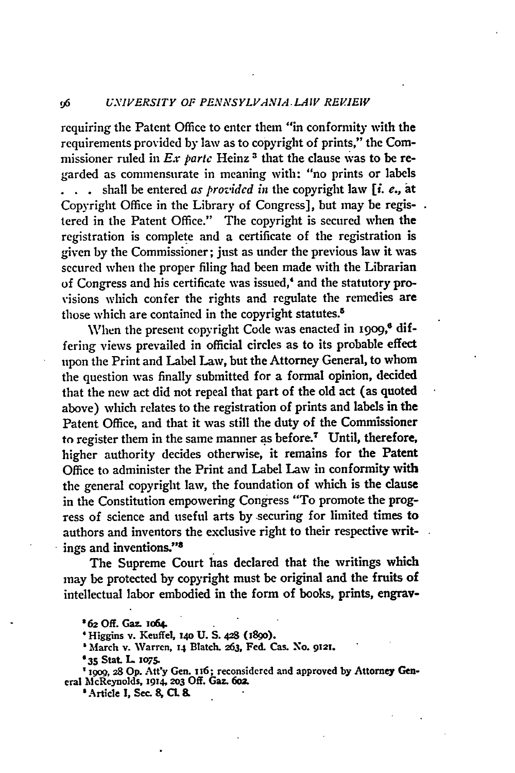requiring the Patent Office to enter them "in conformity with the requirements provided by law as to copyright of prints," the Commissioner ruled in Ex partc Heinz **3** that the clause was to be regarded as commensurate in meaning with: "no prints or labels **.** shall be entered *as provided in* the copyright law *[i. e.,* **at** Copyright Office in the Library of Congress], but may be registered in the Patent Office." The copyright is secured when the registration is complete and a certificate of the registration is given **by** the Commissioner; just as under the previous law it was secured when the proper filing had been made with the Librarian of Congress and his certificate was issued,' and the statutory provisions which confer the rights and regulate the remedies are those which are contained in the copyright statutes.<sup>5</sup>

When the present copyright Code was enacted in 1909,<sup>6</sup> differing views prevailed in official circles as to its probable effect upon the Print and Label Law, but the Attorney General, to whom the question was finally submitted for a formal opinion, decided that the new act did not repeal that part of the old act (as quoted above) which relates to the registration of prints and labels in the Patent Office, and that it was still the duty of the Commissioner to register them in the same manner as before.<sup>7</sup> Until, therefore, higher authority decides otherwise, it remains for the Patent Office to administer the Print and Label Law in conformity with the general copyright law, the foundation of which is the clause in the Constitution empowering Congress "To promote the progress of science and useful arts by .securing for limited times to authors and inventors the exclusive right to their respective writings and inventions. 's

The Supreme Court has declared that the writings which may be protected by copyright must **be** original and the fruits of intellectual labor embodied in the form of books, prints, engrav-

**'19o9, 28 Op. Att'y Gen. 116; reconsidered and approved by Attorney General M |cReynolds, 1914, 2o3 Off. Gaz. 6oz**

**'Article I, Sec. 8, CL** *8.*

*<sup>62</sup>* **Off. Gaz. w64.**

**<sup>&#</sup>x27;Higgins v. Keuffel, i4o U. S. 428 (i89o).**

**<sup>&#</sup>x27; March v. Warren, 14 Blatch. 263, Fed. Cas. No. 9 2t.**

**<sup>635</sup>Stat. L** *ios.*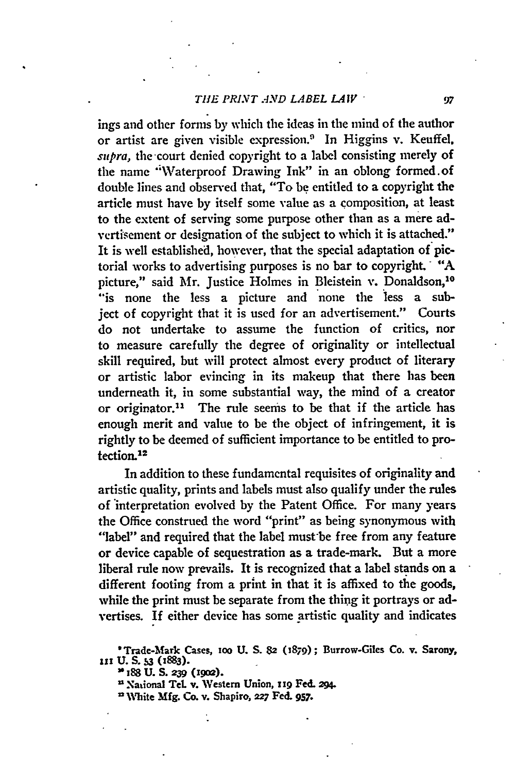#### *THE PRINT AND LABEL LAW* "

ings and other forms by which the ideas in the mind of the author or artist are given visible expression.' In Higgins v. Keuffel, *supra,* the-court denied copyright to a label consisting merely of the name "Waterproof Drawing Ink" in an oblong formed.of double lines and observed that, "To **be** entitled to a copyright the article must have **by** itself some value as a composition, at least to the extent of serving some purpose other than as a mere advertisement or designation of the subject to which it is attached." It is well established, however, that the special adaptation of pictorial works to advertising purposes is no bar to copyright. **"A** picture," said Mr. Justice Holmes in Bleistein v. Donaldson,<sup>10</sup> "is none the less a picture and none the less a subject of copyright that it is used for an advertisement." Courts do not undertake to assume the function of critics, nor to measure carefully the degree of originality or intellectual skill required, but will protect almost every product of literary or artistic labor evincing in its makeup that there has been underneath it, in some substantial way, the mind of a creator or originator.11 The rule seems to be that if the article has enough merit and value to be the object of infringement, it is rightly to be deemed of sufficient importance to be entitled to protection.12

In addition to these fundamental requisites of originality and artistic quality, prints and labels must also qualify under the rules of interpretation evolved **by** the Patent Office. For many years the Office construed the word "print" as being synonymous with "label" and required that the label must be free from any feature or device capable of sequestration as a trade-mark. But a more liberal rule now prevails. It is recognized that a label stands on a different footing from a print in that it is affixed to the goods, while the print must be separate from the thing it portrays or advertises. If either device has some artistic quality and indicates

**"National Tel. v. Western Union, 119 Fed. 294.**

97

**<sup>&#</sup>x27;Trade-Mark Cases, ioo U. S. 82 (1879); Burrow-Giles Co. v. Sarony, III U. S. 3 (1883). 0188 U. S. 239 (1go2).**

**<sup>2</sup> White Mfg. Co. v. Shapiro, 227 Fed. 957.**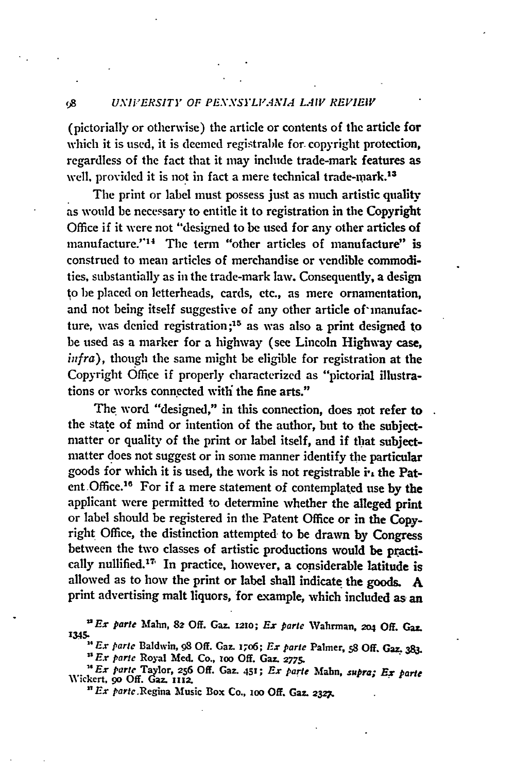# *(A UNIVERSITY OF PENNSYLVANIA LAIV REVIEIV*

(pictorially or otherwise) the article or contents of the article for which it is used, it is deemed registrable for. copyright protection, regardless of the fact that it may include trade-mark features as well, provided it is not in fact a mere technical trade-mark.<sup>13</sup>

The print or label must possess just as much artistic quality as would be necessary to entitle it to registration in the Copyright Office if it were not "designed to be used for any other articles of manufacture."<sup>14</sup> The term "other articles of manufacture" is construed to mean articles of merchandise or vendible commodities, substantially as in the trade-mark law. Consequently, a design to be placed on letterheads, cards, etc., as mere ornamentation, and not being itself suggestive of any other article of'manufacture, was denied registration **;15** as was also a print designed to be used as a marker for a highway (see Lincoln Highway case, *infra),* though the same might be eligible for registration at the Copyright Office if properly characterized as "pictorial illustrations or works connected with the fine arts."

The word "designed," in this connection, does not refer to the state of mind or intention of the author, but to the subjectmatter or quality of the print or label itself, and if that subjectmatter does not suggest or in some manner identify the particular goods for which it is used, the work is not registrable in the Patent Office.16 For if a mere statement of contemplated use by the applicant were permitted to determine whether the alleged print or label should be registered in the Patent Office or in the Copyright Office, the distinction attempted- to be drawn by Congress between the two classes of artistic productions would be practically nullified."T' In practice, however, a considerable latitude is allowed as to how the print or label shall indicate the goods. A print advertising malt liquors, for example, which included as an

*"Ex parle* Mahn, **82 Off.** Gaz. **1210;** *Ex pare* **,Vahrman, o4 Off.** Gar\_ **1345.**

*Ex pare* Baldwin, 98 **Off.** Gaz. 17o6; *Ex parte* Palmer, s8 **Off.** Gaz. **383.** *1 sE.r pare* **Royal Med.** Co., **zoo Off. Gaz.** *2775.*

*'s Ex parte* **Taylr, 256 Off. Gaz. 451;** *Ex pare* Mahn, *supra; Ex parte* **Wickert, go Off.** Gaz. **1r12.**

*" Ex* parte.Regina **Music Box Co., zoo Off.** Gaz. *2327.*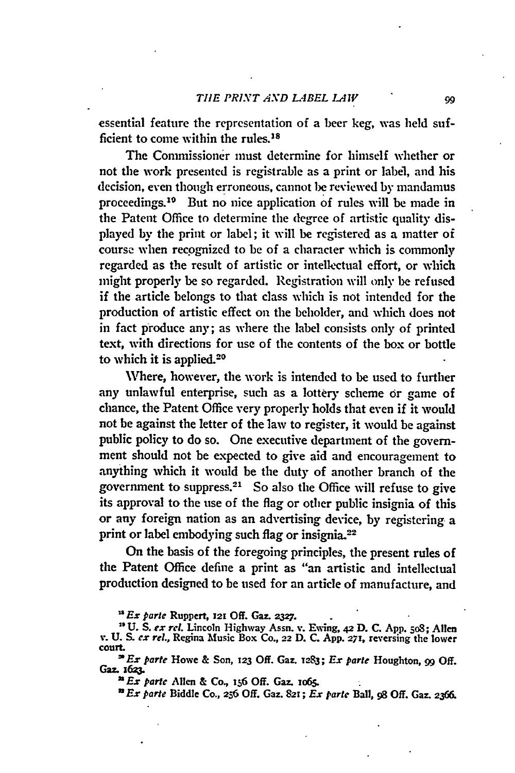essential feature the representation of a beer **keg,** was held sufficient to come within the rules.<sup>18</sup>

The Commissioner must determine for himself whether or not the work presented is registrable as a print or label, and his decision, even though erroneous, cannot be reviewed **by** mandamus proceedings.10 But no nice application of rules will **be** made in the Patent Office to determine the degree of artistic quality displayed **by** the **print or** label; it will be registered as a matter of course when recognized to be of a character which is commonly regarded as the result of artistic or intellectual effort, or which might properly be so regarded. Registration **will** only **be** refused if the article belongs to that class which is not intended for the production of artistic effect **on** the beholder, and which does not in fact produce any; as where the label consists only of printed text, with directions for use of the contents of the box or bottle to which it is applied.20

Where, however, the work is intended to be used to further any unlawful enterprise, such as a lottery scheme or game of chance, the Patent Office very properly holds that even if it would not be against the letter of the **law** to register, it would **be** against public policy to do so. One executive department of the government should not be expected to give aid and encouragement to anything which it would be the duty of another branch of the government to suppress.21 So also the Office will refuse to give its approval to the use of the flag or other public insignia of this or any foreign nation as an advertising device, **by** registering a print or label embodying such flag or insignia.<sup>22</sup>

On the basis of the foregoing principles, the present rules of the Patent Office define a print as "an artistic and intellectual production designed to be used for an article of manufacture, and

*Ex parle* Ruppert, 12! **Off. Gaz. 2327. 2**

**<sup>&#</sup>x27;U.** *S. ex rel.* **Lincoln Highway Assn. v. Ewing, 42 D. C. App. 5o8; Allen** *v.* **U. S.** *ex tel.,* **Regina Music Box Co., 22 D. C. App.** 271, **reversing the lower court.**

*Ex* **parte Howe & Son, 123 Off. Gaz. v.283;** *Ex parte* **Houghton, 99 Off.** Gaz. **z623**

*a Ex pare* **Allen & Co., 156 Off. Gaz. io65.**

*Ex parte* Biddle Co., **2-6 Off. Gaz. 8z;** *Ex parte* Ball, **98 Off. Ga=. 2366.**